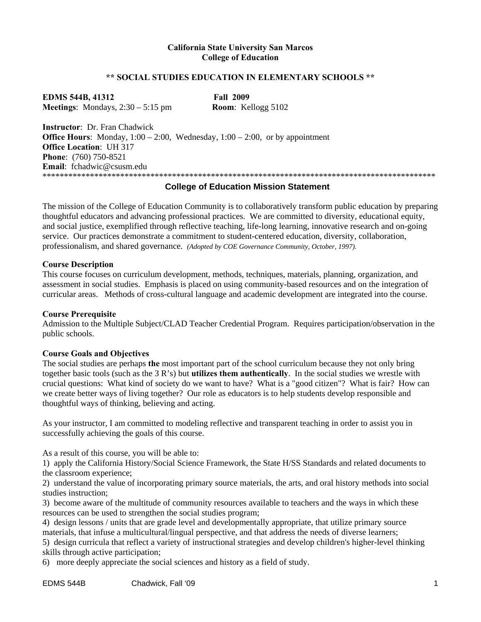#### **California State University San Marcos College of Education**

#### **\*\* SOCIAL STUDIES EDUCATION IN ELEMENTARY SCHOOLS \*\***

**EDMS 544B, 41312 Fall 2009 Meetings**: Mondays, 2:30 – 5:15 pm **Room**: Kellogg 5102

**Instructor**: Dr. Fran Chadwick **Office Hours**: Monday,  $1:00 - 2:00$ , Wednesday,  $1:00 - 2:00$ , or by appointment **Office Location**: UH 317 **Phone**: (760) 750-8521 **Email**: fchadwic@csusm.edu \*\*\*\*\*\*\*\*\*\*\*\*\*\*\*\*\*\*\*\*\*\*\*\*\*\*\*\*\*\*\*\*\*\*\*\*\*\*\*\*\*\*\*\*\*\*\*\*\*\*\*\*\*\*\*\*\*\*\*\*\*\*\*\*\*\*\*\*\*\*\*\*\*\*\*\*\*\*\*\*\*\*\*\*\*\*\*\*\*\*\*

#### **College of Education Mission Statement**

The mission of the College of Education Community is to collaboratively transform public education by preparing thoughtful educators and advancing professional practices. We are committed to diversity, educational equity, and social justice, exemplified through reflective teaching, life-long learning, innovative research and on-going service. Our practices demonstrate a commitment to student-centered education, diversity, collaboration, professionalism, and shared governance. *(Adopted by COE Governance Community, October, 1997).* 

#### **Course Description**

This course focuses on curriculum development, methods, techniques, materials, planning, organization, and assessment in social studies. Emphasis is placed on using community-based resources and on the integration of curricular areas. Methods of cross-cultural language and academic development are integrated into the course.

#### **Course Prerequisite**

Admission to the Multiple Subject/CLAD Teacher Credential Program. Requires participation/observation in the public schools.

#### **Course Goals and Objectives**

The social studies are perhaps **the** most important part of the school curriculum because they not only bring together basic tools (such as the 3 R's) but **utilizes them authentically**. In the social studies we wrestle with crucial questions: What kind of society do we want to have? What is a "good citizen"? What is fair? How can we create better ways of living together? Our role as educators is to help students develop responsible and thoughtful ways of thinking, believing and acting.

As your instructor, I am committed to modeling reflective and transparent teaching in order to assist you in successfully achieving the goals of this course.

As a result of this course, you will be able to:

1) apply the California History/Social Science Framework, the State H/SS Standards and related documents to the classroom experience;

2) understand the value of incorporating primary source materials, the arts, and oral history methods into social studies instruction;

3) become aware of the multitude of community resources available to teachers and the ways in which these resources can be used to strengthen the social studies program;

4) design lessons / units that are grade level and developmentally appropriate, that utilize primary source materials, that infuse a multicultural/lingual perspective, and that address the needs of diverse learners; 5) design curricula that reflect a variety of instructional strategies and develop children's higher-level thinking

skills through active participation;

6) more deeply appreciate the social sciences and history as a field of study.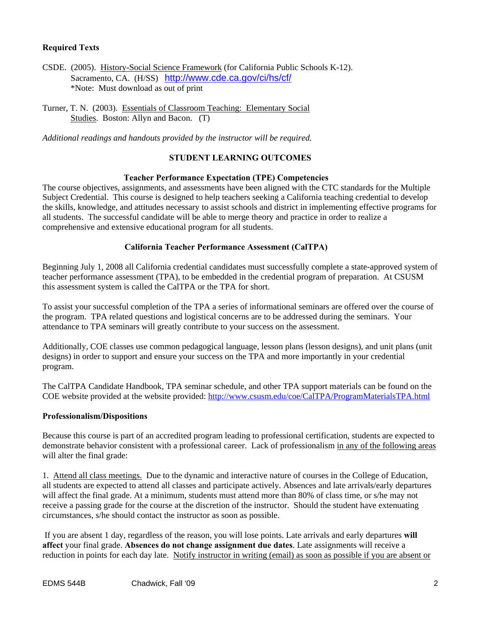#### **Required Texts**

CSDE. (2005). History-Social Science Framework (for California Public Schools K-12). Sacramento, CA. (H/SS) http://www.cde.ca.gov/ci/hs/cf/ \*Note: Must download as out of print

Turner, T. N. (2003). Essentials of Classroom Teaching: Elementary Social Studies. Boston: Allyn and Bacon. (T)

*Additional readings and handouts provided by the instructor will be required.* 

#### **STUDENT LEARNING OUTCOMES**

#### **Teacher Performance Expectation (TPE) Competencies**

The course objectives, assignments, and assessments have been aligned with the CTC standards for the Multiple Subject Credential. This course is designed to help teachers seeking a California teaching credential to develop the skills, knowledge, and attitudes necessary to assist schools and district in implementing effective programs for all students. The successful candidate will be able to merge theory and practice in order to realize a comprehensive and extensive educational program for all students.

#### **California Teacher Performance Assessment (CalTPA)**

Beginning July 1, 2008 all California credential candidates must successfully complete a state-approved system of teacher performance assessment (TPA), to be embedded in the credential program of preparation. At CSUSM this assessment system is called the CalTPA or the TPA for short.

To assist your successful completion of the TPA a series of informational seminars are offered over the course of the program. TPA related questions and logistical concerns are to be addressed during the seminars. Your attendance to TPA seminars will greatly contribute to your success on the assessment.

Additionally, COE classes use common pedagogical language, lesson plans (lesson designs), and unit plans (unit designs) in order to support and ensure your success on the TPA and more importantly in your credential program.

The CalTPA Candidate Handbook, TPA seminar schedule, and other TPA support materials can be found on the COE website provided at the website provided: http://www.csusm.edu/coe/CalTPA/ProgramMaterialsTPA.html

#### **Professionalism/Dispositions**

Because this course is part of an accredited program leading to professional certification, students are expected to demonstrate behavior consistent with a professional career. Lack of professionalism in any of the following areas will alter the final grade:

1. Attend all class meetings. Due to the dynamic and interactive nature of courses in the College of Education, all students are expected to attend all classes and participate actively. Absences and late arrivals/early departures will affect the final grade. At a minimum, students must attend more than 80% of class time, or s/he may not receive a passing grade for the course at the discretion of the instructor. Should the student have extenuating circumstances, s/he should contact the instructor as soon as possible.

 If you are absent 1 day, regardless of the reason, you will lose points. Late arrivals and early departures **will affect** your final grade. **Absences do not change assignment due dates**. Late assignments will receive a reduction in points for each day late. Notify instructor in writing (email) as soon as possible if you are absent or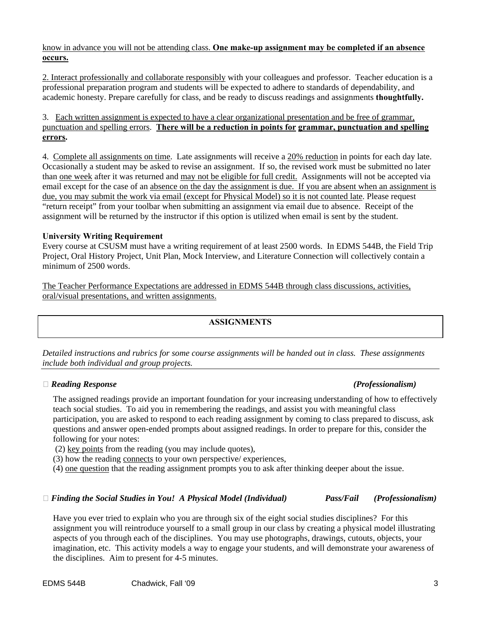#### know in advance you will not be attending class. **One make-up assignment may be completed if an absence occurs.**

2. Interact professionally and collaborate responsibly with your colleagues and professor. Teacher education is a professional preparation program and students will be expected to adhere to standards of dependability, and academic honesty. Prepare carefully for class, and be ready to discuss readings and assignments **thoughtfully.** 

#### 3. Each written assignment is expected to have a clear organizational presentation and be free of grammar, punctuation and spelling errors. **There will be a reduction in points for grammar, punctuation and spelling errors.**

4. Complete all assignments on time. Late assignments will receive a 20% reduction in points for each day late. Occasionally a student may be asked to revise an assignment. If so, the revised work must be submitted no later than one week after it was returned and may not be eligible for full credit. Assignments will not be accepted via email except for the case of an absence on the day the assignment is due. If you are absent when an assignment is due, you may submit the work via email (except for Physical Model) so it is not counted late. Please request "return receipt" from your toolbar when submitting an assignment via email due to absence. Receipt of the assignment will be returned by the instructor if this option is utilized when email is sent by the student.

#### **University Writing Requirement**

Every course at CSUSM must have a writing requirement of at least 2500 words. In EDMS 544B, the Field Trip Project, Oral History Project, Unit Plan, Mock Interview, and Literature Connection will collectively contain a minimum of 2500 words.

The Teacher Performance Expectations are addressed in EDMS 544B through class discussions, activities, oral/visual presentations, and written assignments.

### **ASSIGNMENTS**

*Detailed instructions and rubrics for some course assignments will be handed out in class. These assignments include both individual and group projects.* 

#### **�** *Reading Response (Professionalism)*

The assigned readings provide an important foundation for your increasing understanding of how to effectively teach social studies. To aid you in remembering the readings, and assist you with meaningful class participation, you are asked to respond to each reading assignment by coming to class prepared to discuss, ask questions and answer open-ended prompts about assigned readings. In order to prepare for this, consider the following for your notes:

(2) key points from the reading (you may include quotes),

(3) how the reading connects to your own perspective/ experiences,

(4) one question that the reading assignment prompts you to ask after thinking deeper about the issue.

#### **�** *Finding the Social Studies in You! A Physical Model (Individual) Pass/Fail (Professionalism)*

Have you ever tried to explain who you are through six of the eight social studies disciplines? For this assignment you will reintroduce yourself to a small group in our class by creating a physical model illustrating aspects of you through each of the disciplines. You may use photographs, drawings, cutouts, objects, your imagination, etc. This activity models a way to engage your students, and will demonstrate your awareness of the disciplines. Aim to present for 4-5 minutes.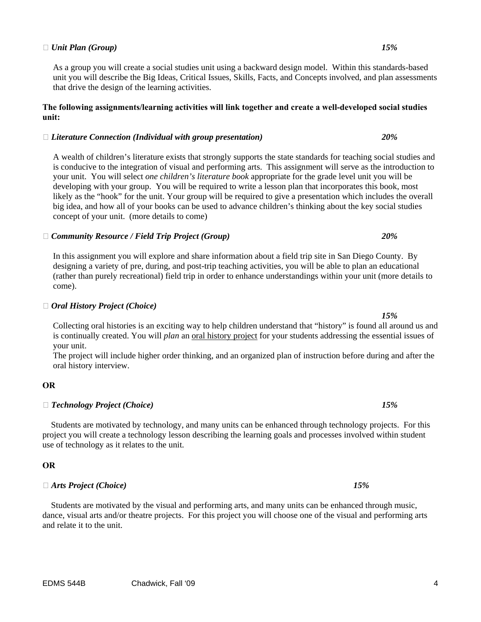#### $\Box$  *Unit Plan (Group)*  $15\%$

As a group you will create a social studies unit using a backward design model. Within this standards-based unit you will describe the Big Ideas, Critical Issues, Skills, Facts, and Concepts involved, and plan assessments that drive the design of the learning activities.

#### **The following assignments/learning activities will link together and create a well-developed social studies unit:**

#### **�** *Literature Connection (Individual with group presentation) 20%*

A wealth of children's literature exists that strongly supports the state standards for teaching social studies and is conducive to the integration of visual and performing arts. This assignment will serve as the introduction to your unit. You will select *one children's literature book* appropriate for the grade level unit you will be developing with your group. You will be required to write a lesson plan that incorporates this book, most likely as the "hook" for the unit. Your group will be required to give a presentation which includes the overall big idea, and how all of your books can be used to advance children's thinking about the key social studies concept of your unit. (more details to come)

#### **�** *Community Resource / Field Trip Project (Group) 20%*

In this assignment you will explore and share information about a field trip site in San Diego County. By designing a variety of pre, during, and post-trip teaching activities, you will be able to plan an educational (rather than purely recreational) field trip in order to enhance understandings within your unit (more details to come).

#### **�** *Oral History Project (Choice)*

Collecting oral histories is an exciting way to help children understand that "history" is found all around us and is continually created. You will *plan* an oral history project for your students addressing the essential issues of your unit.

The project will include higher order thinking, and an organized plan of instruction before during and after the oral history interview.

#### 

# **OR �** *Technology Project (Choice) 15%*

 Students are motivated by technology, and many units can be enhanced through technology projects. For this project you will create a technology lesson describing the learning goals and processes involved within student use of technology as it relates to the unit.

#### 

# □ Arts Project (Choice) **OR �** *Arts Project (Choice) 15%*

 Students are motivated by the visual and performing arts, and many units can be enhanced through music, dance, visual arts and/or theatre projects. For this project you will choose one of the visual and performing arts and relate it to the unit.

 *15%*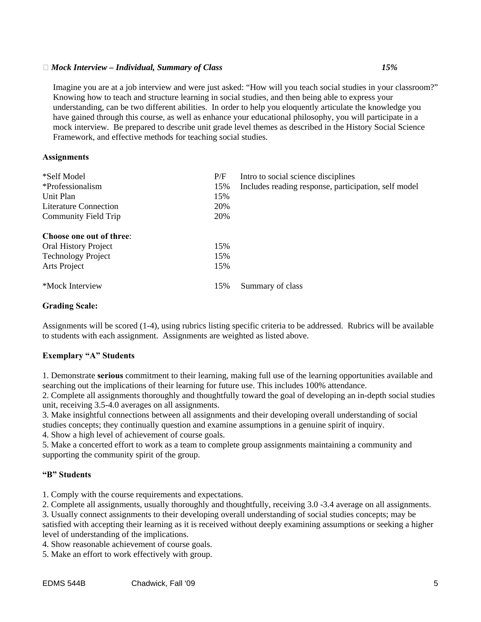#### **�** *Mock Interview – Individual, Summary of Class 15%*

Imagine you are at a job interview and were just asked: "How will you teach social studies in your classroom?"<br>Knowing how to teach and structure learning in social studies, and then being able to express your understanding, can be two different abilities. In order to help you eloquently articulate the knowledge you have gained through this course, as well as enhance your educational philosophy, you will participate in a mock interview. Be prepared to describe unit grade level themes as described in the History Social Science Framework, and effective methods for teaching social studies.

#### **Assignments**

| *Self Model                 | P/F | Intro to social science disciplines                  |
|-----------------------------|-----|------------------------------------------------------|
| *Professionalism            | 15% | Includes reading response, participation, self model |
| Unit Plan                   | 15% |                                                      |
| Literature Connection       | 20% |                                                      |
| Community Field Trip        | 20% |                                                      |
| Choose one out of three:    |     |                                                      |
|                             |     |                                                      |
| <b>Oral History Project</b> | 15% |                                                      |
| <b>Technology Project</b>   | 15% |                                                      |
| Arts Project                | 15% |                                                      |
| *Mock Interview             | 15% | Summary of class                                     |

#### **Grading Scale:**

Assignments will be scored (1-4), using rubrics listing specific criteria to be addressed. Rubrics will be available to students with each assignment. Assignments are weighted as listed above.

#### **Exemplary "A" Students**

1. Demonstrate **serious** commitment to their learning, making full use of the learning opportunities available and searching out the implications of their learning for future use. This includes 100% attendance.

2. Complete all assignments thoroughly and thoughtfully toward the goal of developing an in-depth social studies unit, receiving 3.5-4.0 averages on all assignments.

3. Make insightful connections between all assignments and their developing overall understanding of social studies concepts; they continually question and examine assumptions in a genuine spirit of inquiry.

4. Show a high level of achievement of course goals.

5. Make a concerted effort to work as a team to complete group assignments maintaining a community and supporting the community spirit of the group.

#### **"B" Students**

1. Comply with the course requirements and expectations.

2. Complete all assignments, usually thoroughly and thoughtfully, receiving 3.0 -3.4 average on all assignments.

3. Usually connect assignments to their developing overall understanding of social studies concepts; may be satisfied with accepting their learning as it is received without deeply examining assumptions or seeking a higher level of understanding of the implications.

4. Show reasonable achievement of course goals.

5. Make an effort to work effectively with group.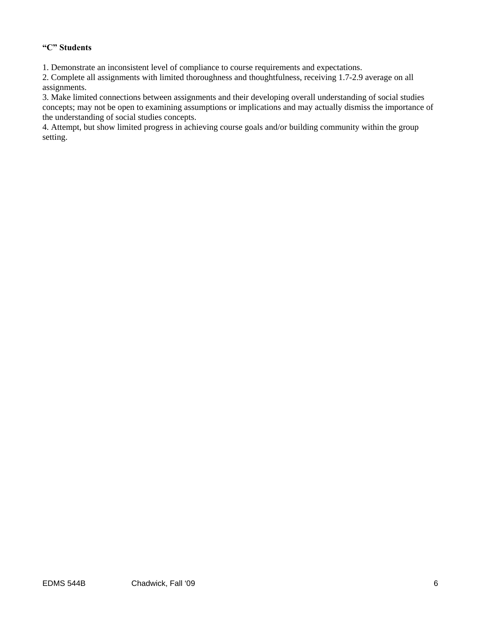#### **"C" Students**

1. Demonstrate an inconsistent level of compliance to course requirements and expectations.

2. Complete all assignments with limited thoroughness and thoughtfulness, receiving 1.7-2.9 average on all assignments.

3. Make limited connections between assignments and their developing overall understanding of social studies concepts; may not be open to examining assumptions or implications and may actually dismiss the importance of the understanding of social studies concepts.

4. Attempt, but show limited progress in achieving course goals and/or building community within the group setting.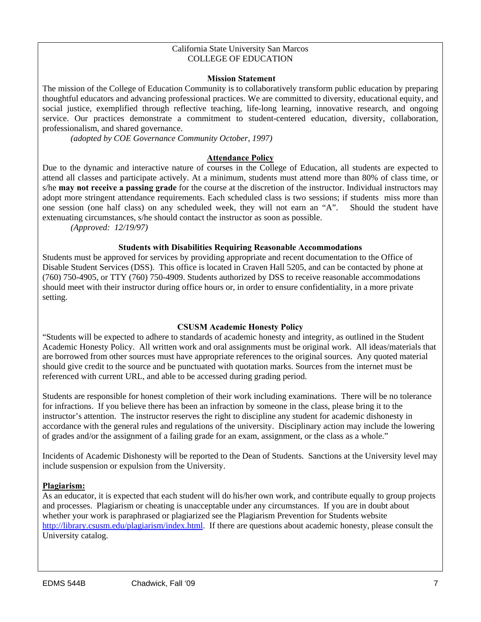#### California State University San Marcos COLLEGE OF EDUCATION

#### **Mission Statement**

The mission of the College of Education Community is to collaboratively transform public education by preparing thoughtful educators and advancing professional practices. We are committed to diversity, educational equity, and social justice, exemplified through reflective teaching, life-long learning, innovative research, and ongoing service. Our practices demonstrate a commitment to student-centered education, diversity, collaboration, professionalism, and shared governance.

*(adopted by COE Governance Community October, 1997)* 

#### **Attendance Policy**

Due to the dynamic and interactive nature of courses in the College of Education, all students are expected to attend all classes and participate actively. At a minimum, students must attend more than 80% of class time, or s/he **may not receive a passing grade** for the course at the discretion of the instructor. Individual instructors may adopt more stringent attendance requirements. Each scheduled class is two sessions; if students miss more than one session (one half class) on any scheduled week, they will not earn an "A". Should the student have extenuating circumstances, s/he should contact the instructor as soon as possible.

*(Approved: 12/19/97)* 

#### **Students with Disabilities Requiring Reasonable Accommodations**

Students must be approved for services by providing appropriate and recent documentation to the Office of Disable Student Services (DSS). This office is located in Craven Hall 5205, and can be contacted by phone at (760) 750-4905, or TTY (760) 750-4909. Students authorized by DSS to receive reasonable accommodations should meet with their instructor during office hours or, in order to ensure confidentiality, in a more private setting.

#### **CSUSM Academic Honesty Policy**

"Students will be expected to adhere to standards of academic honesty and integrity, as outlined in the Student Academic Honesty Policy. All written work and oral assignments must be original work. All ideas/materials that are borrowed from other sources must have appropriate references to the original sources. Any quoted material should give credit to the source and be punctuated with quotation marks. Sources from the internet must be referenced with current URL, and able to be accessed during grading period.

Students are responsible for honest completion of their work including examinations. There will be no tolerance for infractions. If you believe there has been an infraction by someone in the class, please bring it to the instructor's attention. The instructor reserves the right to discipline any student for academic dishonesty in accordance with the general rules and regulations of the university. Disciplinary action may include the lowering of grades and/or the assignment of a failing grade for an exam, assignment, or the class as a whole."

Incidents of Academic Dishonesty will be reported to the Dean of Students. Sanctions at the University level may include suspension or expulsion from the University.

#### **Plagiarism:**

As an educator, it is expected that each student will do his/her own work, and contribute equally to group projects and processes. Plagiarism or cheating is unacceptable under any circumstances. If you are in doubt about whether your work is paraphrased or plagiarized see the Plagiarism Prevention for Students website http://library.csusm.edu/plagiarism/index.html. If there are questions about academic honesty, please consult the University catalog.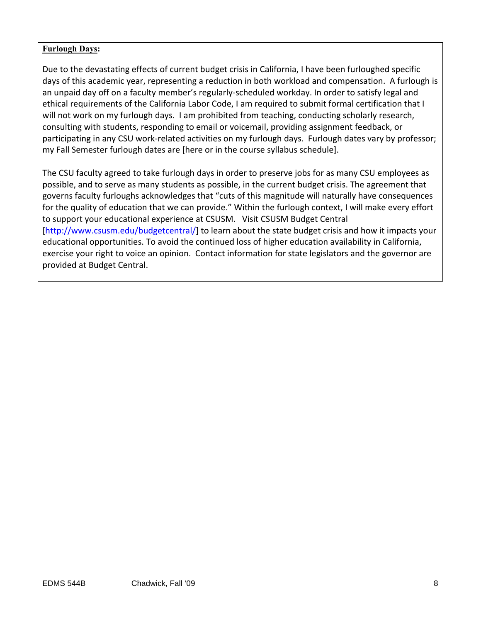#### **Furlough Days:**

 Due to the devastating effects of current budget crisis in California, I have been furloughed specific days of this academic year, representing a reduction in both workload and compensation. A furlough is an unpaid day off on a faculty member's regularly‐scheduled workday. In order to satisfy legal and ethical requirements of the California Labor Code, I am required to submit formal certification that I will not work on my furlough days. I am prohibited from teaching, conducting scholarly research, consulting with students, responding to email or voicemail, providing assignment feedback, or participating in any CSU work‐related activities on my furlough days. Furlough dates vary by professor; my Fall Semester furlough dates are [here or in the course syllabus schedule].

 The CSU faculty agreed to take furlough days in order to preserve jobs for as many CSU employees as possible, and to serve as many students as possible, in the current budget crisis. The agreement that governs faculty furloughs acknowledges that "cuts of this magnitude will naturally have consequences for the quality of education that we can provide." Within the furlough context, I will make every effort to support your educational experience at CSUSM. Visit CSUSM Budget Central [http://www.csusm.edu/budgetcentral/] to learn about the state budget crisis and how it impacts your educational opportunities. To avoid the continued loss of higher education availability in California, exercise your right to voice an opinion. Contact information for state legislators and the governor are provided at Budget Central.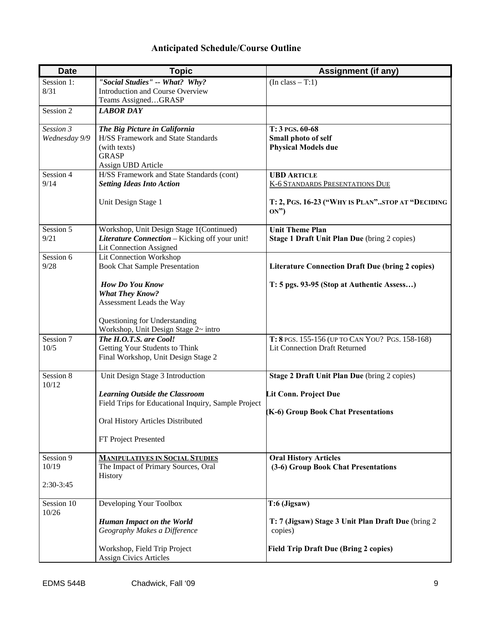## **Anticipated Schedule/Course Outline**

| <b>Date</b>   | <b>Topic</b>                                                    | <b>Assignment (if any)</b>                               |
|---------------|-----------------------------------------------------------------|----------------------------------------------------------|
| Session 1:    | "Social Studies" -- What? Why?                                  | $(In class - T:1)$                                       |
| 8/31          | Introduction and Course Overview                                |                                                          |
|               | Teams AssignedGRASP                                             |                                                          |
| Session 2     | <b>LABOR DAY</b>                                                |                                                          |
| Session 3     | The Big Picture in California                                   | T: 3 PGS. 60-68                                          |
| Wednesday 9/9 | <b>H/SS Framework and State Standards</b>                       | Small photo of self                                      |
|               | (with texts)                                                    | <b>Physical Models due</b>                               |
|               | <b>GRASP</b>                                                    |                                                          |
| Session 4     | Assign UBD Article<br>H/SS Framework and State Standards (cont) | <b>UBD ARTICLE</b>                                       |
| 9/14          | <b>Setting Ideas Into Action</b>                                | <b>K-6 STANDARDS PRESENTATIONS DUE</b>                   |
|               |                                                                 |                                                          |
|               | Unit Design Stage 1                                             | T: 2, PGS. 16-23 ("WHY IS PLAN"STOP AT "DECIDING<br>ON") |
| Session 5     | Workshop, Unit Design Stage 1(Continued)                        | <b>Unit Theme Plan</b>                                   |
| 9/21          | Literature Connection - Kicking off your unit!                  | Stage 1 Draft Unit Plan Due (bring 2 copies)             |
|               | <b>Lit Connection Assigned</b>                                  |                                                          |
| Session 6     | <b>Lit Connection Workshop</b>                                  |                                                          |
| 9/28          | <b>Book Chat Sample Presentation</b>                            | <b>Literature Connection Draft Due (bring 2 copies)</b>  |
|               | <b>How Do You Know</b>                                          | T: 5 pgs. 93-95 (Stop at Authentic Assess)               |
|               | <b>What They Know?</b>                                          |                                                          |
|               | Assessment Leads the Way                                        |                                                          |
|               | Questioning for Understanding                                   |                                                          |
|               | Workshop, Unit Design Stage 2~ intro                            |                                                          |
| Session 7     | The H.O.T.S. are Cool!                                          | T: 8 PGS. 155-156 (UP TO CAN YOU? PGS. 158-168)          |
| 10/5          | Getting Your Students to Think                                  | <b>Lit Connection Draft Returned</b>                     |
|               | Final Workshop, Unit Design Stage 2                             |                                                          |
| Session 8     | Unit Design Stage 3 Introduction                                | Stage 2 Draft Unit Plan Due (bring 2 copies)             |
| 10/12         |                                                                 |                                                          |
|               | <b>Learning Outside the Classroom</b>                           | Lit Conn. Project Due                                    |
|               | Field Trips for Educational Inquiry, Sample Project             |                                                          |
|               | Oral History Articles Distributed                               | (K-6) Group Book Chat Presentations                      |
|               |                                                                 |                                                          |
|               | FT Project Presented                                            |                                                          |
| Session 9     | <b>MANIPULATIVES IN SOCIAL STUDIES</b>                          | <b>Oral History Articles</b>                             |
| 10/19         | The Impact of Primary Sources, Oral                             | (3-6) Group Book Chat Presentations                      |
|               | History                                                         |                                                          |
| $2:30-3:45$   |                                                                 |                                                          |
| Session 10    | Developing Your Toolbox                                         | T:6 (Jigsaw)                                             |
| 10/26         |                                                                 |                                                          |
|               | <b>Human Impact on the World</b>                                | T: 7 (Jigsaw) Stage 3 Unit Plan Draft Due (bring 2       |
|               | Geography Makes a Difference                                    | copies)                                                  |
|               | Workshop, Field Trip Project                                    | <b>Field Trip Draft Due (Bring 2 copies)</b>             |
|               | <b>Assign Civics Articles</b>                                   |                                                          |